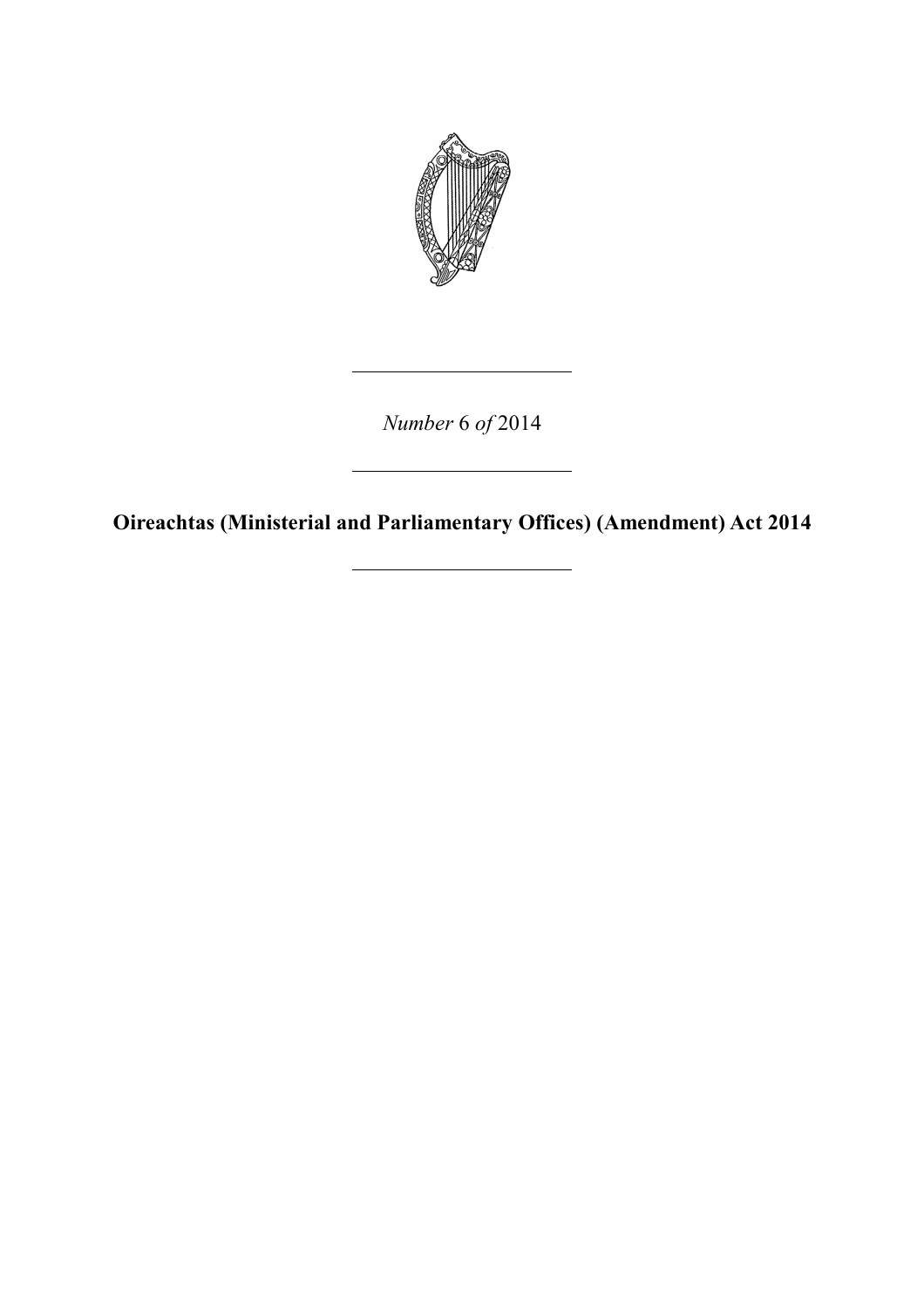

*Number* 6 *of* 2014

**Oireachtas (Ministerial and Parliamentary Offices) (Amendment) Act 2014**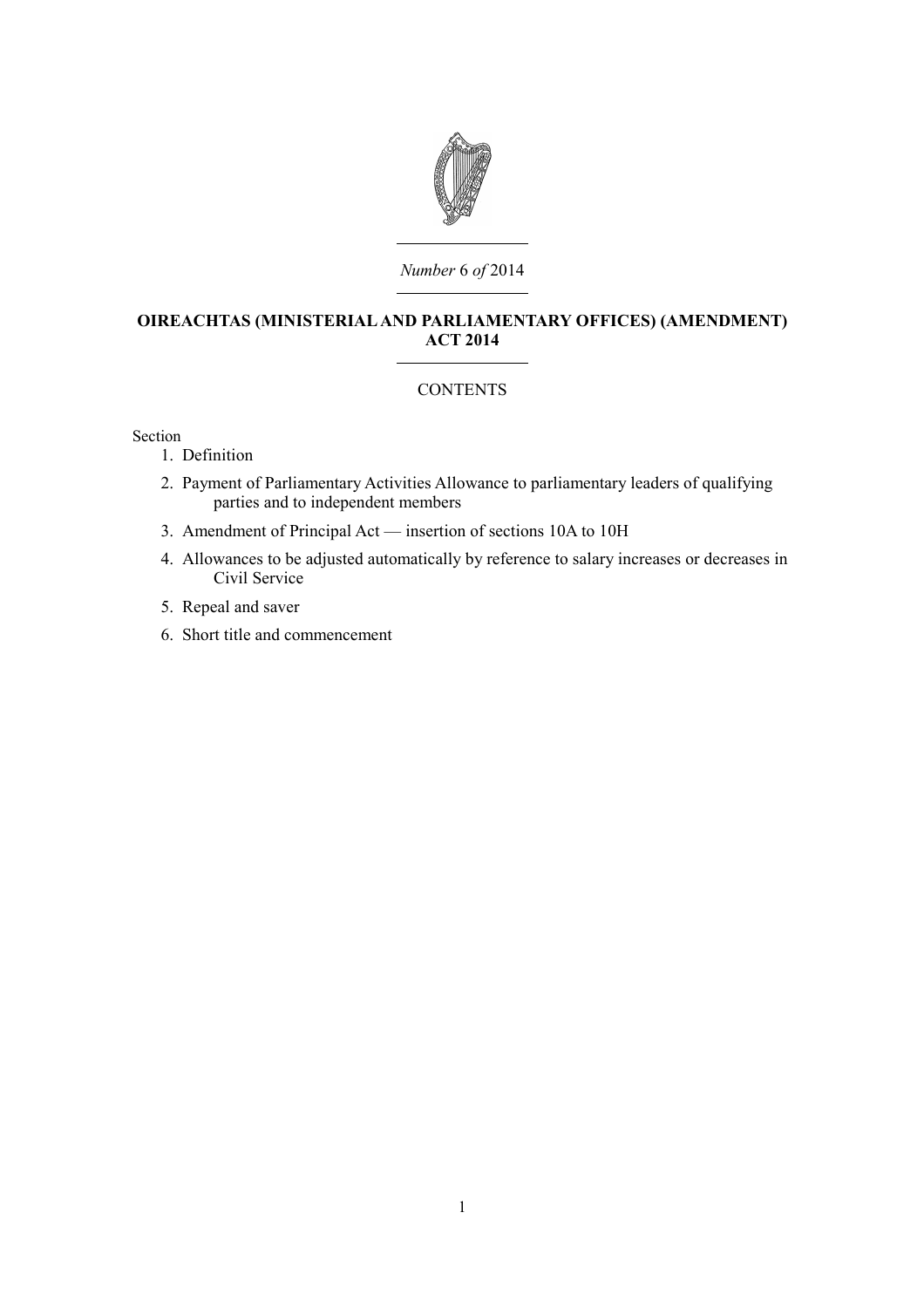

### *Number* 6 *of* 2014

# **OIREACHTAS (MINISTERIAL AND PARLIAMENTARY OFFICES) (AMENDMENT) ACT 2014**

# **CONTENTS**

Section

- 1. [Definition](#page-4-0)
- 2. [Payment of Parliamentary Activities Allowance to parliamentary leaders of qualifying](#page-4-1) [parties and to independent members](#page-4-1)
- 3. [Amendment of Principal Act insertion of sections 10A to 10H](#page-7-0)
- 4. [Allowances to be adjusted automatically by reference to salary increases or decreases in](#page-14-1) [Civil Service](#page-14-1)
- 5. [Repeal and saver](#page-14-0)
- 6. [Short title and commencement](#page-15-0)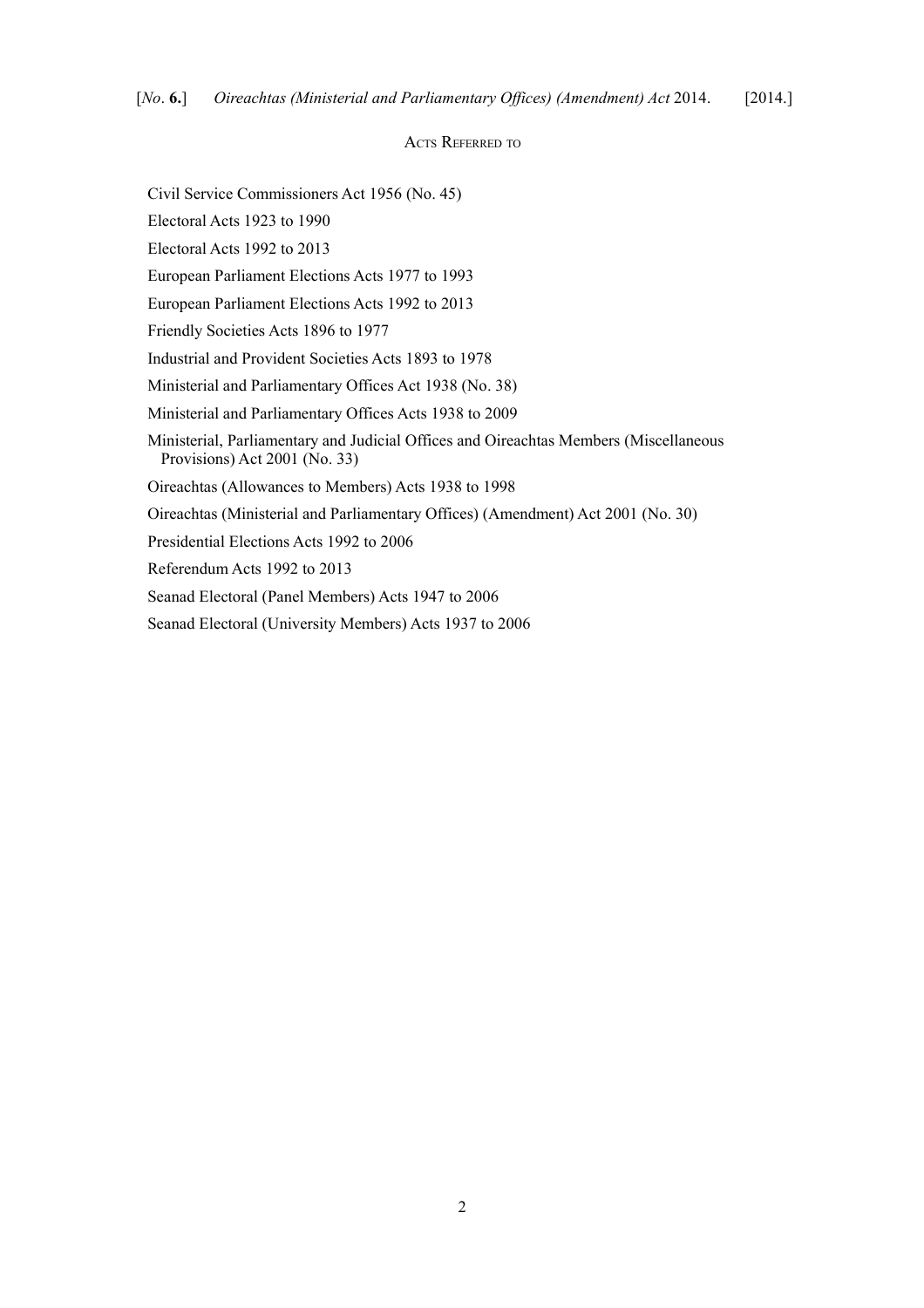#### ACTS REFERRED TO

Civil Service Commissioners Act 1956 (No. 45)

Electoral Acts 1923 to 1990

Electoral Acts 1992 to 2013

European Parliament Elections Acts 1977 to 1993

European Parliament Elections Acts 1992 to 2013

Friendly Societies Acts 1896 to 1977

Industrial and Provident Societies Acts 1893 to 1978

Ministerial and Parliamentary Offices Act 1938 (No. 38)

Ministerial and Parliamentary Offices Acts 1938 to 2009

Ministerial, Parliamentary and Judicial Offices and Oireachtas Members (Miscellaneous Provisions) Act 2001 (No. 33)

Oireachtas (Allowances to Members) Acts 1938 to 1998

Oireachtas (Ministerial and Parliamentary Offices) (Amendment) Act 2001 (No. 30)

Presidential Elections Acts 1992 to 2006

Referendum Acts 1992 to 2013

Seanad Electoral (Panel Members) Acts 1947 to 2006

Seanad Electoral (University Members) Acts 1937 to 2006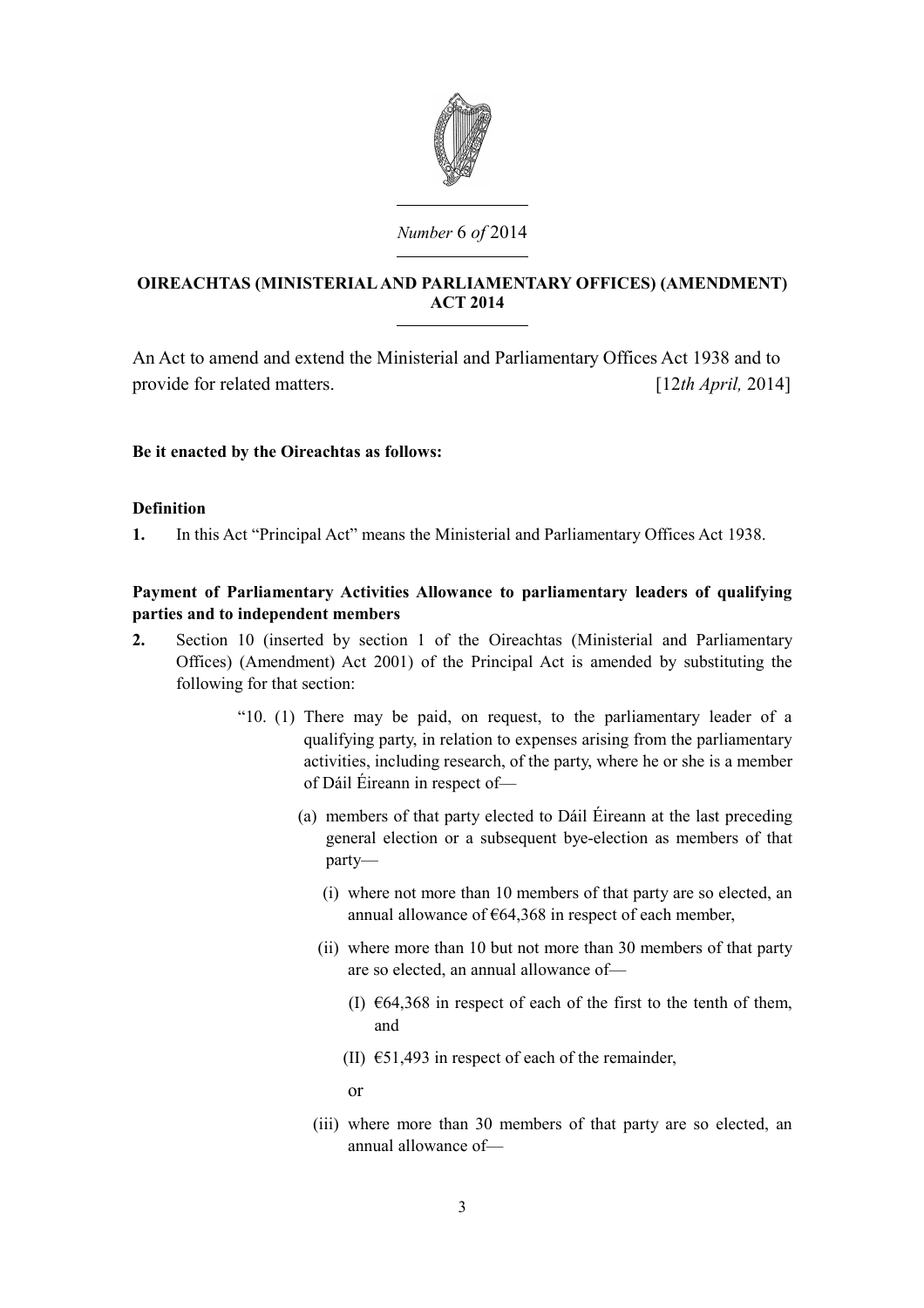

# *Number* 6 *of* 2014

# **OIREACHTAS (MINISTERIAL AND PARLIAMENTARY OFFICES) (AMENDMENT) ACT 2014**

An Act to amend and extend the Ministerial and Parliamentary Offices Act 1938 and to provide for related matters. [12*th April,* 2014]

# **Be it enacted by the Oireachtas as follows:**

## <span id="page-4-0"></span>**Definition**

**1.** In this Act "Principal Act" means the [Ministerial and Parliamentary Offices Act 1938.](http://www.irishstatutebook.ie/1938/en/act/pub/0038/index.html)

# <span id="page-4-1"></span>**Payment of Parliamentary Activities Allowance to parliamentary leaders of qualifying parties and to independent members**

- **2.** Section 10 (inserted by section 1 of the [Oireachtas \(Ministerial and Parliamentary](http://www.irishstatutebook.ie/2001/en/act/pub/0030/index.html) [Offices\) \(Amendment\) Act 2001\)](http://www.irishstatutebook.ie/2001/en/act/pub/0030/index.html) of the Principal Act is amended by substituting the following for that section:
	- "10. (1) There may be paid, on request, to the parliamentary leader of a qualifying party, in relation to expenses arising from the parliamentary activities, including research, of the party, where he or she is a member of Dáil Éireann in respect of—
		- (a) members of that party elected to Dáil Éireann at the last preceding general election or a subsequent bye-election as members of that party—
			- (i) where not more than 10 members of that party are so elected, an annual allowance of  $\epsilon$ 64,368 in respect of each member,
			- (ii) where more than 10 but not more than 30 members of that party are so elected, an annual allowance of—
				- (I)  $\epsilon$ 64,368 in respect of each of the first to the tenth of them, and
				- (II)  $\epsilon$ 51,493 in respect of each of the remainder,
				- or
			- (iii) where more than 30 members of that party are so elected, an annual allowance of—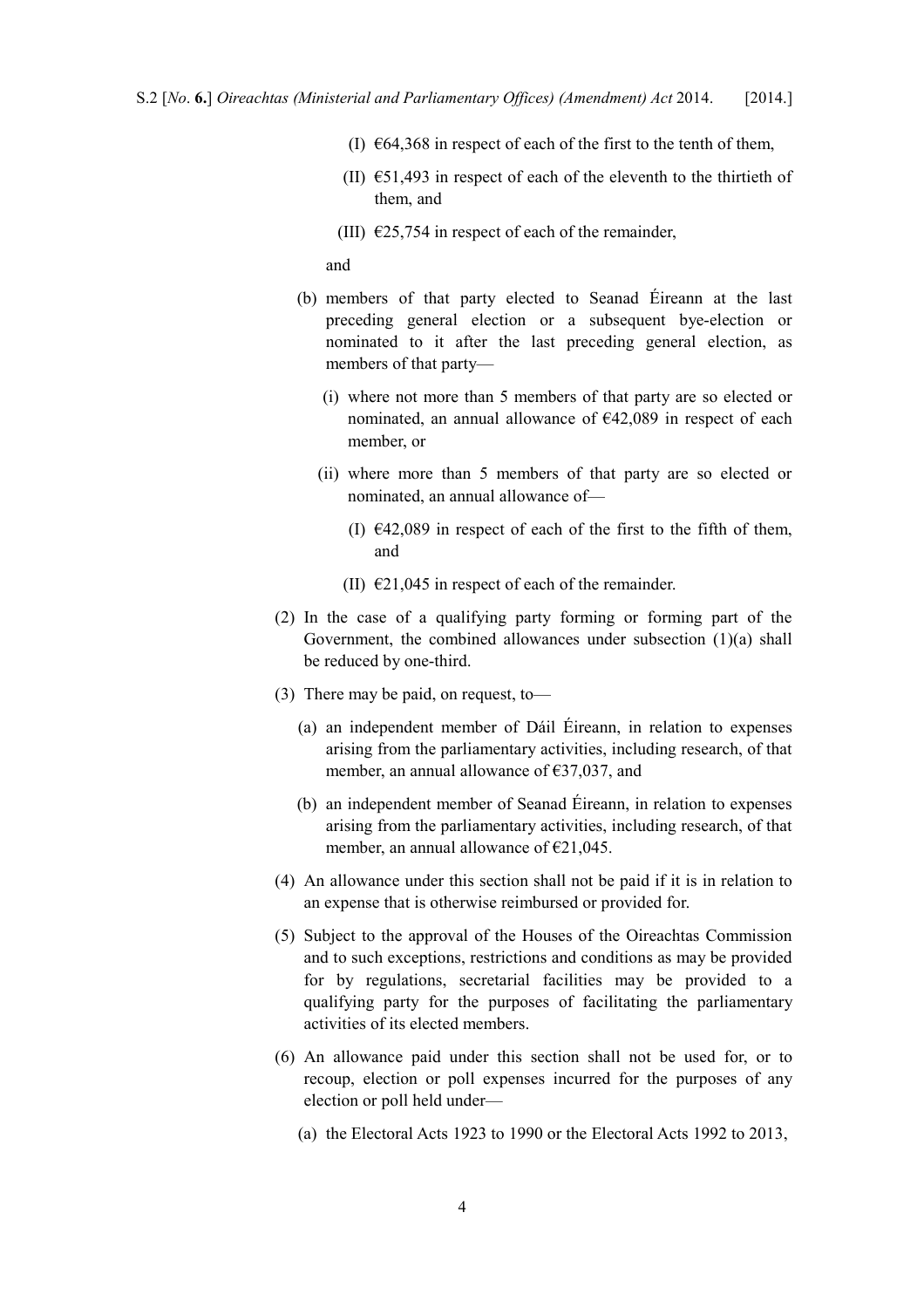- (I)  $\epsilon$ 64,368 in respect of each of the first to the tenth of them,
- (II)  $\epsilon$ 51,493 in respect of each of the eleventh to the thirtieth of them, and
- (III)  $\epsilon$ 25,754 in respect of each of the remainder,

and

- (b) members of that party elected to Seanad Éireann at the last preceding general election or a subsequent bye-election or nominated to it after the last preceding general election, as members of that party—
	- (i) where not more than 5 members of that party are so elected or nominated, an annual allowance of €42,089 in respect of each member, or
	- (ii) where more than 5 members of that party are so elected or nominated, an annual allowance of—
		- (I)  $\epsilon$ 42,089 in respect of each of the first to the fifth of them, and
		- (II)  $\epsilon$ 21,045 in respect of each of the remainder.
- (2) In the case of a qualifying party forming or forming part of the Government, the combined allowances under subsection (1)(a) shall be reduced by one-third.
- (3) There may be paid, on request, to—
	- (a) an independent member of Dáil Éireann, in relation to expenses arising from the parliamentary activities, including research, of that member, an annual allowance of  $\epsilon$ 37,037, and
	- (b) an independent member of Seanad Éireann, in relation to expenses arising from the parliamentary activities, including research, of that member, an annual allowance of  $E$ 21,045.
- (4) An allowance under this section shall not be paid if it is in relation to an expense that is otherwise reimbursed or provided for.
- (5) Subject to the approval of the Houses of the Oireachtas Commission and to such exceptions, restrictions and conditions as may be provided for by regulations, secretarial facilities may be provided to a qualifying party for the purposes of facilitating the parliamentary activities of its elected members.
- (6) An allowance paid under this section shall not be used for, or to recoup, election or poll expenses incurred for the purposes of any election or poll held under—
	- (a) the Electoral Acts 1923 to 1990 or the Electoral Acts 1992 to 2013,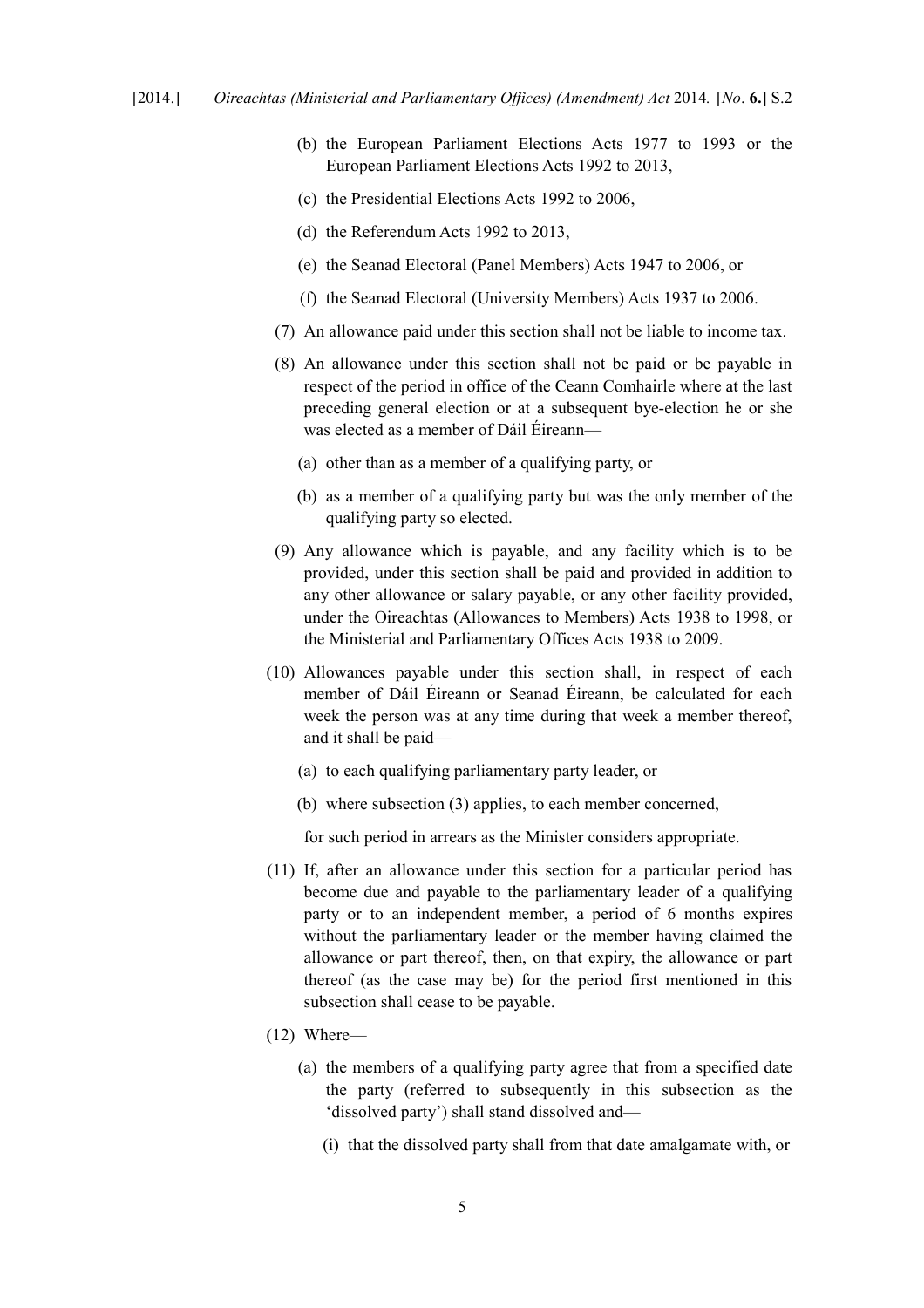- (b) the European Parliament Elections Acts 1977 to 1993 or the European Parliament Elections Acts 1992 to 2013,
- (c) the Presidential Elections Acts 1992 to 2006,
- (d) the Referendum Acts 1992 to 2013,
- (e) the Seanad Electoral (Panel Members) Acts 1947 to 2006, or
- (f) the Seanad Electoral (University Members) Acts 1937 to 2006.
- (7) An allowance paid under this section shall not be liable to income tax.
- (8) An allowance under this section shall not be paid or be payable in respect of the period in office of the Ceann Comhairle where at the last preceding general election or at a subsequent bye-election he or she was elected as a member of Dáil Éireann—
	- (a) other than as a member of a qualifying party, or
	- (b) as a member of a qualifying party but was the only member of the qualifying party so elected.
- (9) Any allowance which is payable, and any facility which is to be provided, under this section shall be paid and provided in addition to any other allowance or salary payable, or any other facility provided, under the Oireachtas (Allowances to Members) Acts 1938 to 1998, or the Ministerial and Parliamentary Offices Acts 1938 to 2009.
- (10) Allowances payable under this section shall, in respect of each member of Dáil Éireann or Seanad Éireann, be calculated for each week the person was at any time during that week a member thereof, and it shall be paid—
	- (a) to each qualifying parliamentary party leader, or
	- (b) where subsection (3) applies, to each member concerned,

for such period in arrears as the Minister considers appropriate.

- (11) If, after an allowance under this section for a particular period has become due and payable to the parliamentary leader of a qualifying party or to an independent member, a period of 6 months expires without the parliamentary leader or the member having claimed the allowance or part thereof, then, on that expiry, the allowance or part thereof (as the case may be) for the period first mentioned in this subsection shall cease to be payable.
- (12) Where—
	- (a) the members of a qualifying party agree that from a specified date the party (referred to subsequently in this subsection as the 'dissolved party') shall stand dissolved and—
		- (i) that the dissolved party shall from that date amalgamate with, or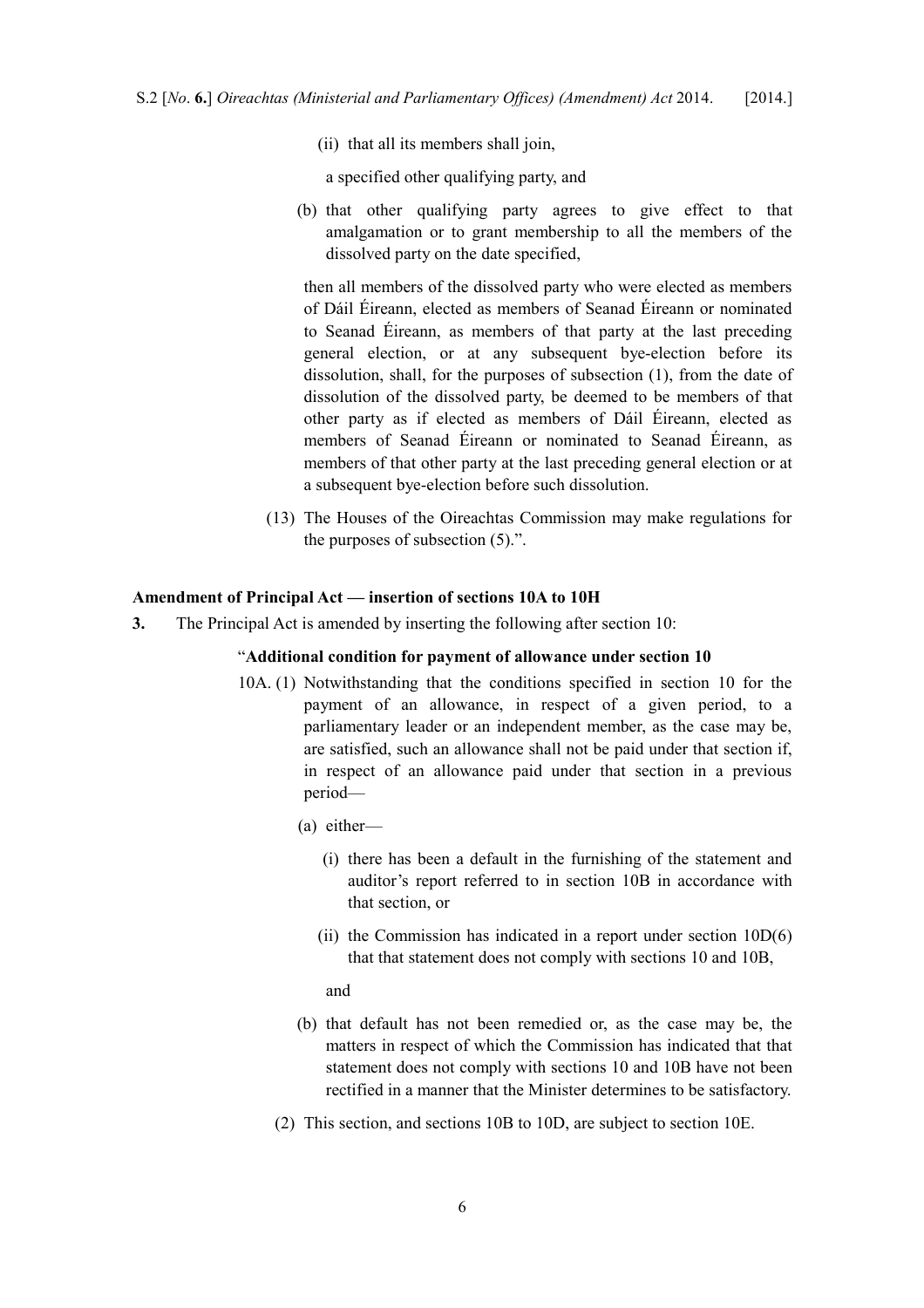(ii) that all its members shall join,

a specified other qualifying party, and

(b) that other qualifying party agrees to give effect to that amalgamation or to grant membership to all the members of the dissolved party on the date specified,

then all members of the dissolved party who were elected as members of Dáil Éireann, elected as members of Seanad Éireann or nominated to Seanad Éireann, as members of that party at the last preceding general election, or at any subsequent bye-election before its dissolution, shall, for the purposes of subsection (1), from the date of dissolution of the dissolved party, be deemed to be members of that other party as if elected as members of Dáil Éireann, elected as members of Seanad Éireann or nominated to Seanad Éireann, as members of that other party at the last preceding general election or at a subsequent bye-election before such dissolution.

(13) The Houses of the Oireachtas Commission may make regulations for the purposes of subsection (5).".

#### <span id="page-7-0"></span>**Amendment of Principal Act — insertion of sections 10A to 10H**

**3.** The Principal Act is amended by inserting the following after section 10:

### "**Additional condition for payment of allowance under section 10**

- 10A. (1) Notwithstanding that the conditions specified in section 10 for the payment of an allowance, in respect of a given period, to a parliamentary leader or an independent member, as the case may be, are satisfied, such an allowance shall not be paid under that section if, in respect of an allowance paid under that section in a previous period—
	- (a) either—
		- (i) there has been a default in the furnishing of the statement and auditor's report referred to in section 10B in accordance with that section, or
		- (ii) the Commission has indicated in a report under section 10D(6) that that statement does not comply with sections 10 and 10B,

and

- (b) that default has not been remedied or, as the case may be, the matters in respect of which the Commission has indicated that that statement does not comply with sections 10 and 10B have not been rectified in a manner that the Minister determines to be satisfactory.
- (2) This section, and sections 10B to 10D, are subject to section 10E.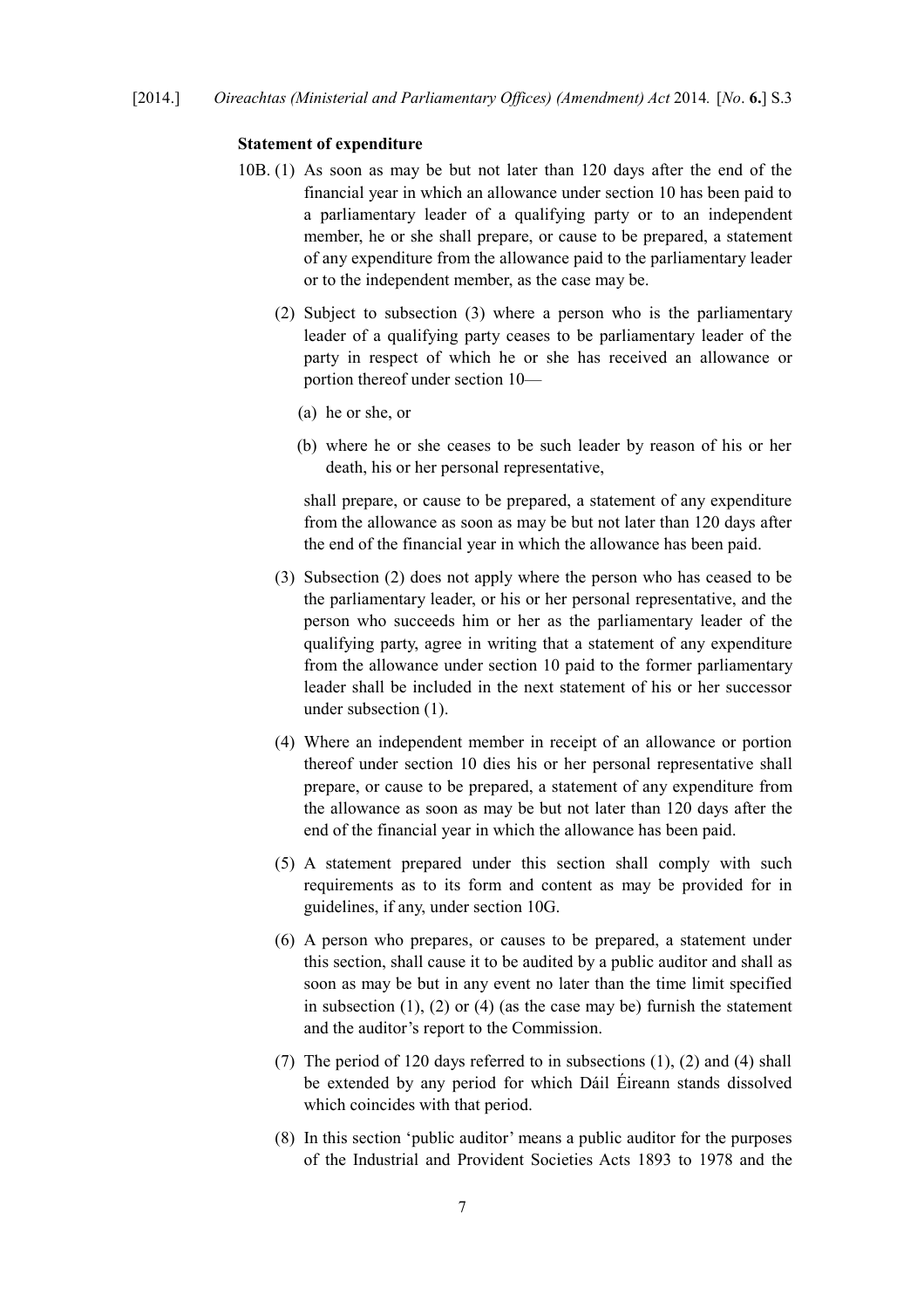#### **Statement of expenditure**

- 10B. (1) As soon as may be but not later than 120 days after the end of the financial year in which an allowance under section 10 has been paid to a parliamentary leader of a qualifying party or to an independent member, he or she shall prepare, or cause to be prepared, a statement of any expenditure from the allowance paid to the parliamentary leader or to the independent member, as the case may be.
	- (2) Subject to subsection (3) where a person who is the parliamentary leader of a qualifying party ceases to be parliamentary leader of the party in respect of which he or she has received an allowance or portion thereof under section 10—
		- (a) he or she, or
		- (b) where he or she ceases to be such leader by reason of his or her death, his or her personal representative,

shall prepare, or cause to be prepared, a statement of any expenditure from the allowance as soon as may be but not later than 120 days after the end of the financial year in which the allowance has been paid.

- (3) Subsection (2) does not apply where the person who has ceased to be the parliamentary leader, or his or her personal representative, and the person who succeeds him or her as the parliamentary leader of the qualifying party, agree in writing that a statement of any expenditure from the allowance under section 10 paid to the former parliamentary leader shall be included in the next statement of his or her successor under subsection (1).
- (4) Where an independent member in receipt of an allowance or portion thereof under section 10 dies his or her personal representative shall prepare, or cause to be prepared, a statement of any expenditure from the allowance as soon as may be but not later than 120 days after the end of the financial year in which the allowance has been paid.
- (5) A statement prepared under this section shall comply with such requirements as to its form and content as may be provided for in guidelines, if any, under section 10G.
- (6) A person who prepares, or causes to be prepared, a statement under this section, shall cause it to be audited by a public auditor and shall as soon as may be but in any event no later than the time limit specified in subsection  $(1)$ ,  $(2)$  or  $(4)$  (as the case may be) furnish the statement and the auditor's report to the Commission.
- (7) The period of 120 days referred to in subsections (1), (2) and (4) shall be extended by any period for which Dáil Éireann stands dissolved which coincides with that period.
- (8) In this section 'public auditor' means a public auditor for the purposes of the Industrial and Provident Societies Acts 1893 to 1978 and the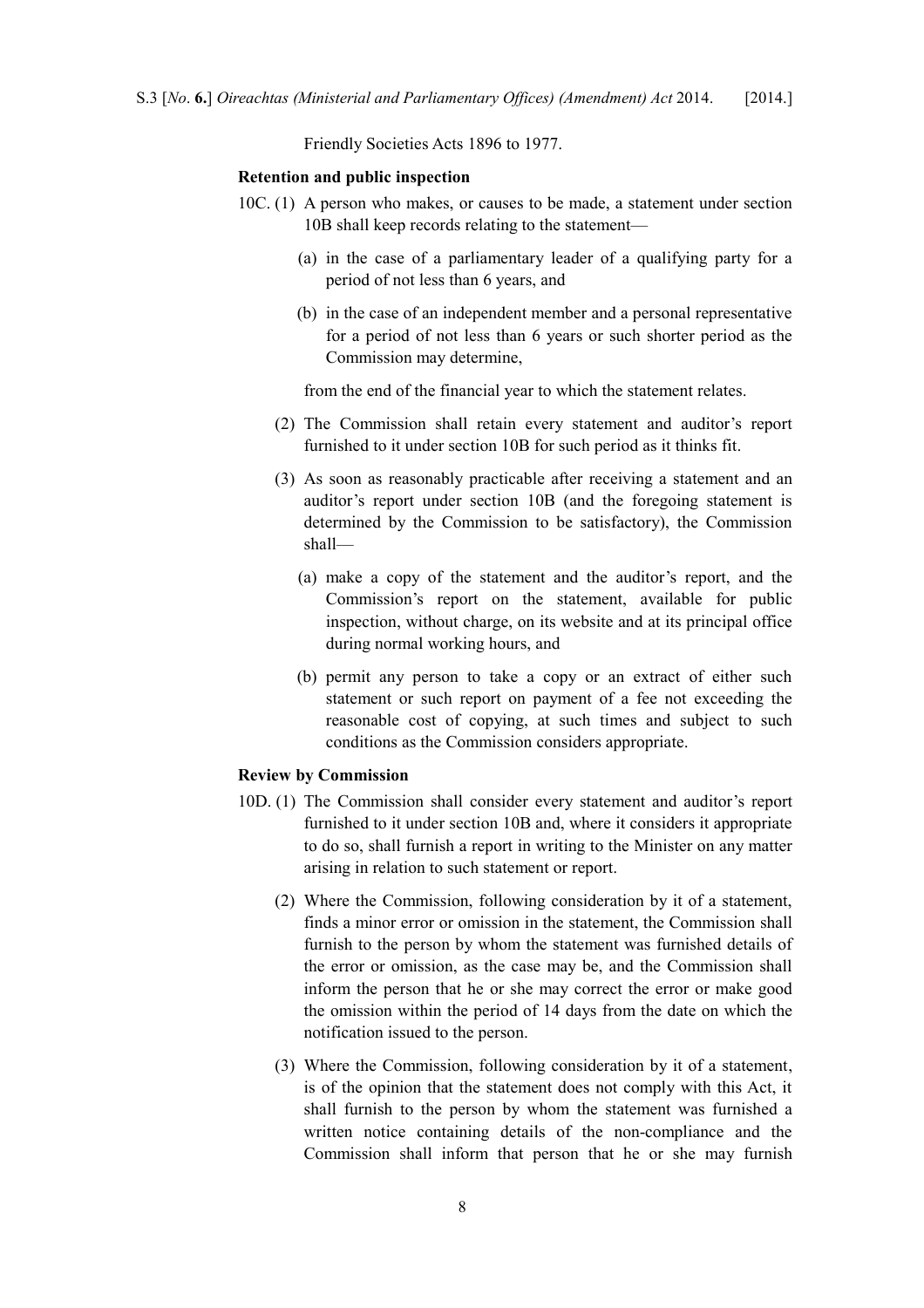Friendly Societies Acts 1896 to 1977.

#### **Retention and public inspection**

- 10C. (1) A person who makes, or causes to be made, a statement under section 10B shall keep records relating to the statement—
	- (a) in the case of a parliamentary leader of a qualifying party for a period of not less than 6 years, and
	- (b) in the case of an independent member and a personal representative for a period of not less than 6 years or such shorter period as the Commission may determine,

from the end of the financial year to which the statement relates.

- (2) The Commission shall retain every statement and auditor's report furnished to it under section 10B for such period as it thinks fit.
- (3) As soon as reasonably practicable after receiving a statement and an auditor's report under section 10B (and the foregoing statement is determined by the Commission to be satisfactory), the Commission shall—
	- (a) make a copy of the statement and the auditor's report, and the Commission's report on the statement, available for public inspection, without charge, on its website and at its principal office during normal working hours, and
	- (b) permit any person to take a copy or an extract of either such statement or such report on payment of a fee not exceeding the reasonable cost of copying, at such times and subject to such conditions as the Commission considers appropriate.

#### **Review by Commission**

- 10D. (1) The Commission shall consider every statement and auditor's report furnished to it under section 10B and, where it considers it appropriate to do so, shall furnish a report in writing to the Minister on any matter arising in relation to such statement or report.
	- (2) Where the Commission, following consideration by it of a statement, finds a minor error or omission in the statement, the Commission shall furnish to the person by whom the statement was furnished details of the error or omission, as the case may be, and the Commission shall inform the person that he or she may correct the error or make good the omission within the period of 14 days from the date on which the notification issued to the person.
	- (3) Where the Commission, following consideration by it of a statement, is of the opinion that the statement does not comply with this Act, it shall furnish to the person by whom the statement was furnished a written notice containing details of the non-compliance and the Commission shall inform that person that he or she may furnish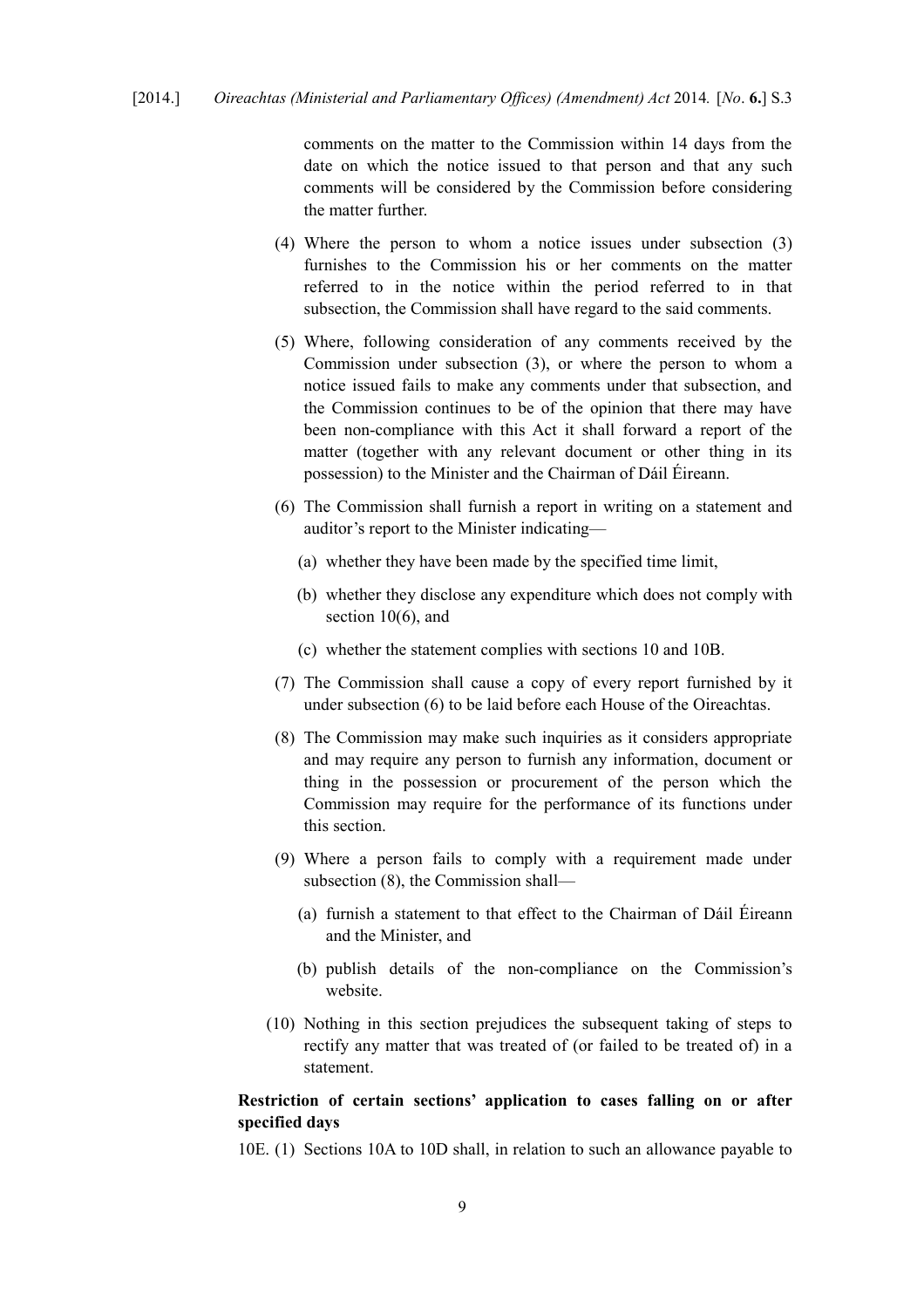comments on the matter to the Commission within 14 days from the date on which the notice issued to that person and that any such comments will be considered by the Commission before considering the matter further.

- (4) Where the person to whom a notice issues under subsection (3) furnishes to the Commission his or her comments on the matter referred to in the notice within the period referred to in that subsection, the Commission shall have regard to the said comments.
- (5) Where, following consideration of any comments received by the Commission under subsection (3), or where the person to whom a notice issued fails to make any comments under that subsection, and the Commission continues to be of the opinion that there may have been non-compliance with this Act it shall forward a report of the matter (together with any relevant document or other thing in its possession) to the Minister and the Chairman of Dáil Éireann.
- (6) The Commission shall furnish a report in writing on a statement and auditor's report to the Minister indicating—
	- (a) whether they have been made by the specified time limit,
	- (b) whether they disclose any expenditure which does not comply with section 10(6), and
	- (c) whether the statement complies with sections 10 and 10B.
- (7) The Commission shall cause a copy of every report furnished by it under subsection (6) to be laid before each House of the Oireachtas.
- (8) The Commission may make such inquiries as it considers appropriate and may require any person to furnish any information, document or thing in the possession or procurement of the person which the Commission may require for the performance of its functions under this section.
- (9) Where a person fails to comply with a requirement made under subsection (8), the Commission shall—
	- (a) furnish a statement to that effect to the Chairman of Dáil Éireann and the Minister, and
	- (b) publish details of the non-compliance on the Commission's website.
- (10) Nothing in this section prejudices the subsequent taking of steps to rectify any matter that was treated of (or failed to be treated of) in a statement.

# **Restriction of certain sections' application to cases falling on or after specified days**

10E. (1) Sections 10A to 10D shall, in relation to such an allowance payable to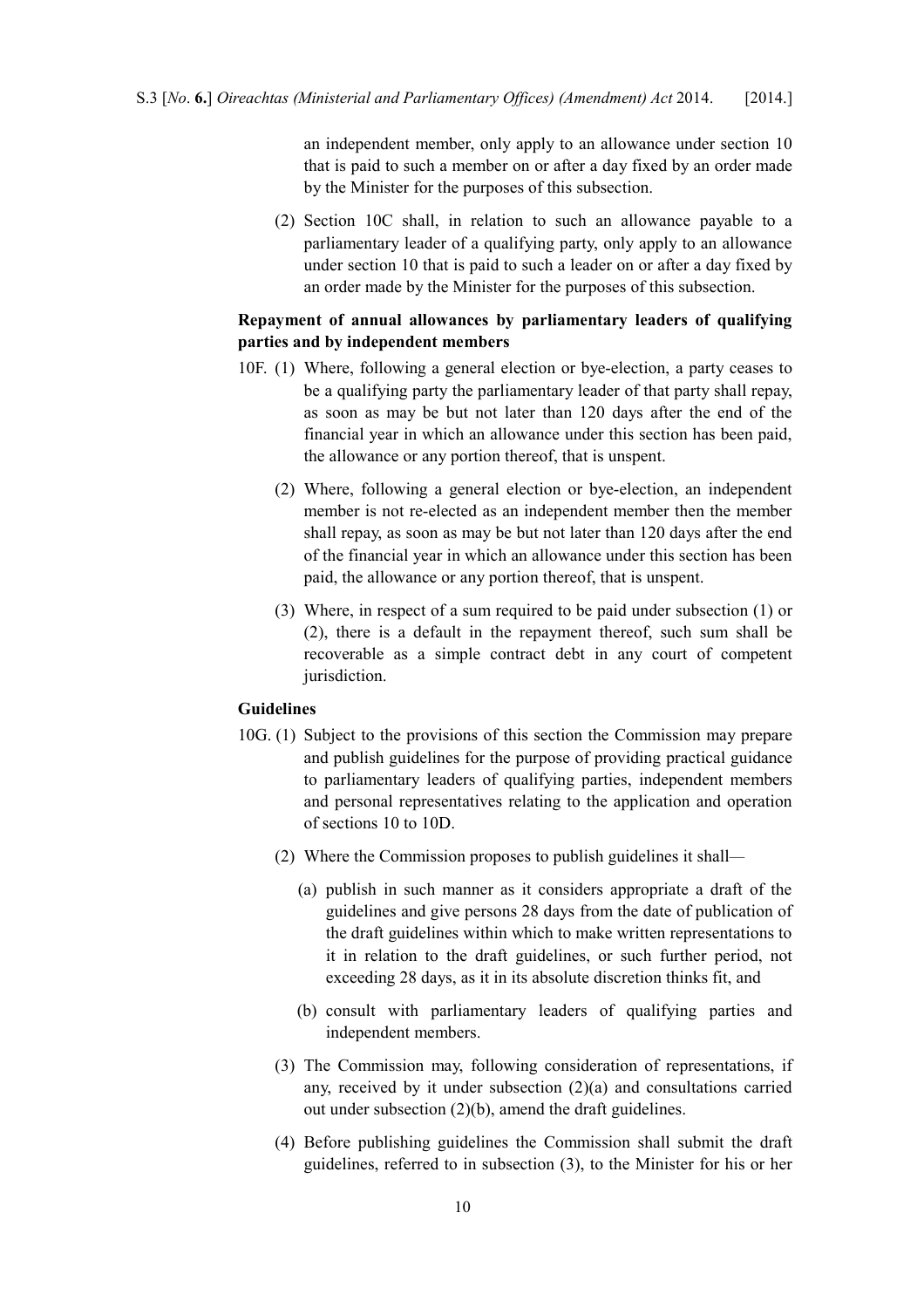an independent member, only apply to an allowance under section 10 that is paid to such a member on or after a day fixed by an order made by the Minister for the purposes of this subsection.

(2) Section 10C shall, in relation to such an allowance payable to a parliamentary leader of a qualifying party, only apply to an allowance under section 10 that is paid to such a leader on or after a day fixed by an order made by the Minister for the purposes of this subsection.

### **Repayment of annual allowances by parliamentary leaders of qualifying parties and by independent members**

- 10F. (1) Where, following a general election or bye-election, a party ceases to be a qualifying party the parliamentary leader of that party shall repay, as soon as may be but not later than 120 days after the end of the financial year in which an allowance under this section has been paid, the allowance or any portion thereof, that is unspent.
	- (2) Where, following a general election or bye-election, an independent member is not re-elected as an independent member then the member shall repay, as soon as may be but not later than 120 days after the end of the financial year in which an allowance under this section has been paid, the allowance or any portion thereof, that is unspent.
	- (3) Where, in respect of a sum required to be paid under subsection (1) or (2), there is a default in the repayment thereof, such sum shall be recoverable as a simple contract debt in any court of competent jurisdiction.

### **Guidelines**

- 10G. (1) Subject to the provisions of this section the Commission may prepare and publish guidelines for the purpose of providing practical guidance to parliamentary leaders of qualifying parties, independent members and personal representatives relating to the application and operation of sections 10 to 10D.
	- (2) Where the Commission proposes to publish guidelines it shall*—*
		- (a) publish in such manner as it considers appropriate a draft of the guidelines and give persons 28 days from the date of publication of the draft guidelines within which to make written representations to it in relation to the draft guidelines, or such further period, not exceeding 28 days, as it in its absolute discretion thinks fit, and
		- (b) consult with parliamentary leaders of qualifying parties and independent members.
	- (3) The Commission may, following consideration of representations, if any, received by it under subsection (2)(a) and consultations carried out under subsection (2)(b), amend the draft guidelines.
	- (4) Before publishing guidelines the Commission shall submit the draft guidelines, referred to in subsection (3), to the Minister for his or her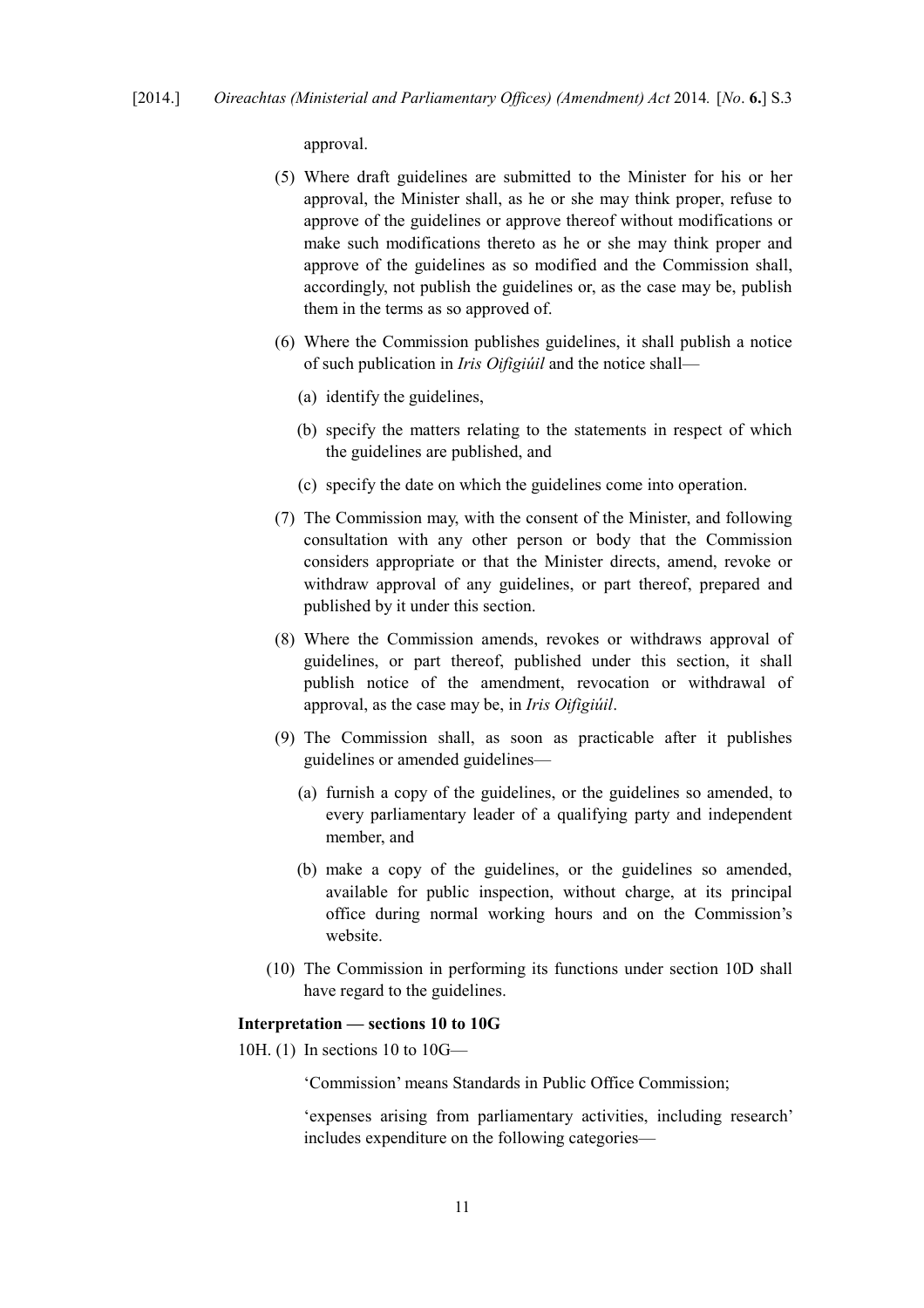approval.

- (5) Where draft guidelines are submitted to the Minister for his or her approval, the Minister shall, as he or she may think proper, refuse to approve of the guidelines or approve thereof without modifications or make such modifications thereto as he or she may think proper and approve of the guidelines as so modified and the Commission shall, accordingly, not publish the guidelines or, as the case may be, publish them in the terms as so approved of.
- (6) Where the Commission publishes guidelines, it shall publish a notice of such publication in *Iris Oifigiúil* and the notice shall—
	- (a) identify the guidelines,
	- (b) specify the matters relating to the statements in respect of which the guidelines are published, and
	- (c) specify the date on which the guidelines come into operation.
- (7) The Commission may, with the consent of the Minister, and following consultation with any other person or body that the Commission considers appropriate or that the Minister directs, amend, revoke or withdraw approval of any guidelines, or part thereof, prepared and published by it under this section.
- (8) Where the Commission amends, revokes or withdraws approval of guidelines, or part thereof, published under this section, it shall publish notice of the amendment, revocation or withdrawal of approval, as the case may be, in *Iris Oifigiúil*.
- (9) The Commission shall, as soon as practicable after it publishes guidelines or amended guidelines—
	- (a) furnish a copy of the guidelines, or the guidelines so amended, to every parliamentary leader of a qualifying party and independent member, and
	- (b) make a copy of the guidelines, or the guidelines so amended, available for public inspection, without charge, at its principal office during normal working hours and on the Commission's website.
- (10) The Commission in performing its functions under section 10D shall have regard to the guidelines.

#### **Interpretation — sections 10 to 10G**

10H. (1) In sections 10 to 10G—

'Commission' means Standards in Public Office Commission;

'expenses arising from parliamentary activities, including research' includes expenditure on the following categories—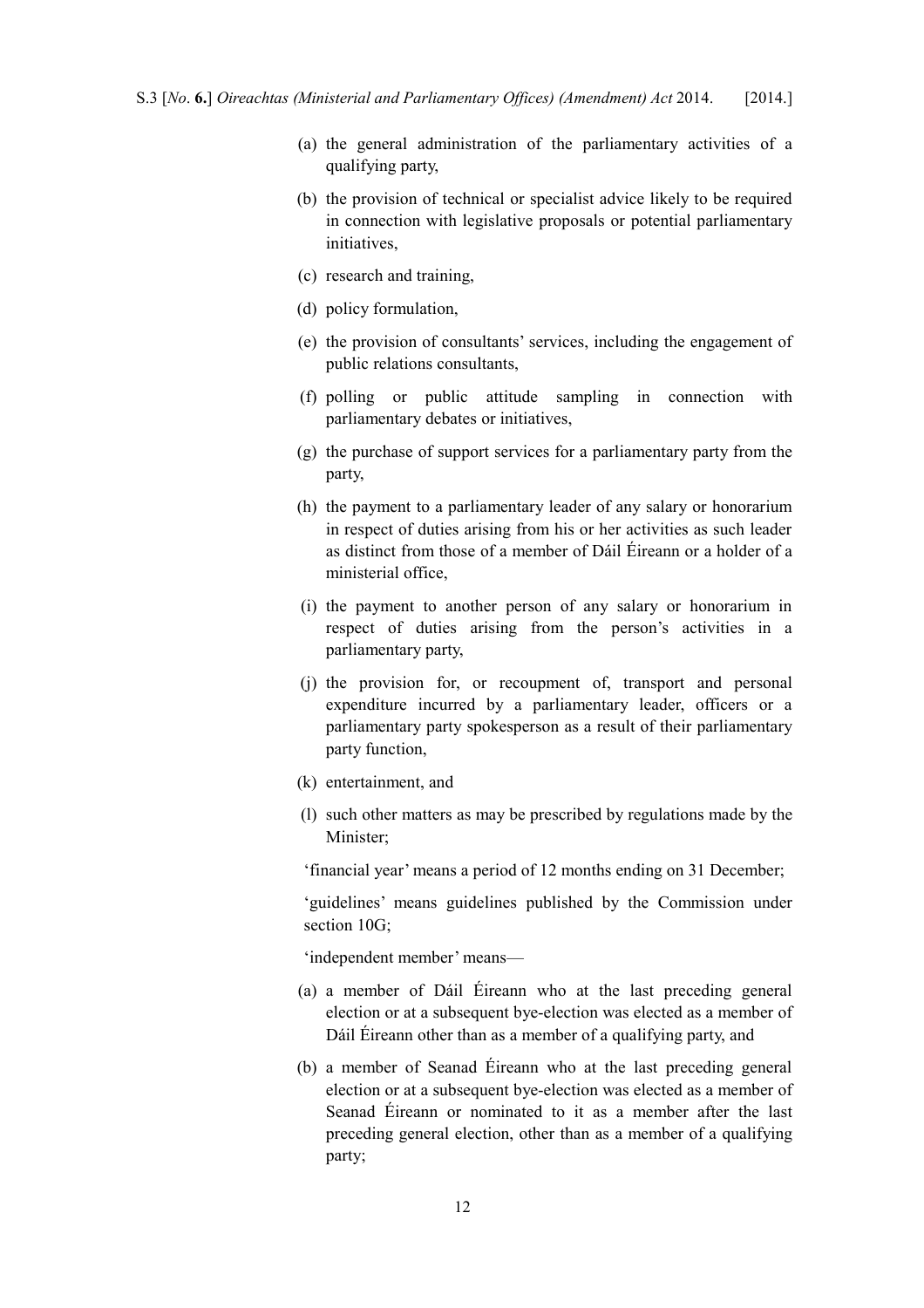- (a) the general administration of the parliamentary activities of a qualifying party,
- (b) the provision of technical or specialist advice likely to be required in connection with legislative proposals or potential parliamentary initiatives,
- (c) research and training,
- (d) policy formulation,
- (e) the provision of consultants' services, including the engagement of public relations consultants,
- (f) polling or public attitude sampling in connection with parliamentary debates or initiatives,
- (g) the purchase of support services for a parliamentary party from the party,
- (h) the payment to a parliamentary leader of any salary or honorarium in respect of duties arising from his or her activities as such leader as distinct from those of a member of Dáil Éireann or a holder of a ministerial office,
- (i) the payment to another person of any salary or honorarium in respect of duties arising from the person's activities in a parliamentary party,
- (j) the provision for, or recoupment of, transport and personal expenditure incurred by a parliamentary leader, officers or a parliamentary party spokesperson as a result of their parliamentary party function,
- (k) entertainment, and
- (l) such other matters as may be prescribed by regulations made by the Minister;

'financial year' means a period of 12 months ending on 31 December;

'guidelines' means guidelines published by the Commission under section 10G;

'independent member' means—

- (a) a member of Dáil Éireann who at the last preceding general election or at a subsequent bye-election was elected as a member of Dáil Éireann other than as a member of a qualifying party, and
- (b) a member of Seanad Éireann who at the last preceding general election or at a subsequent bye-election was elected as a member of Seanad Éireann or nominated to it as a member after the last preceding general election, other than as a member of a qualifying party;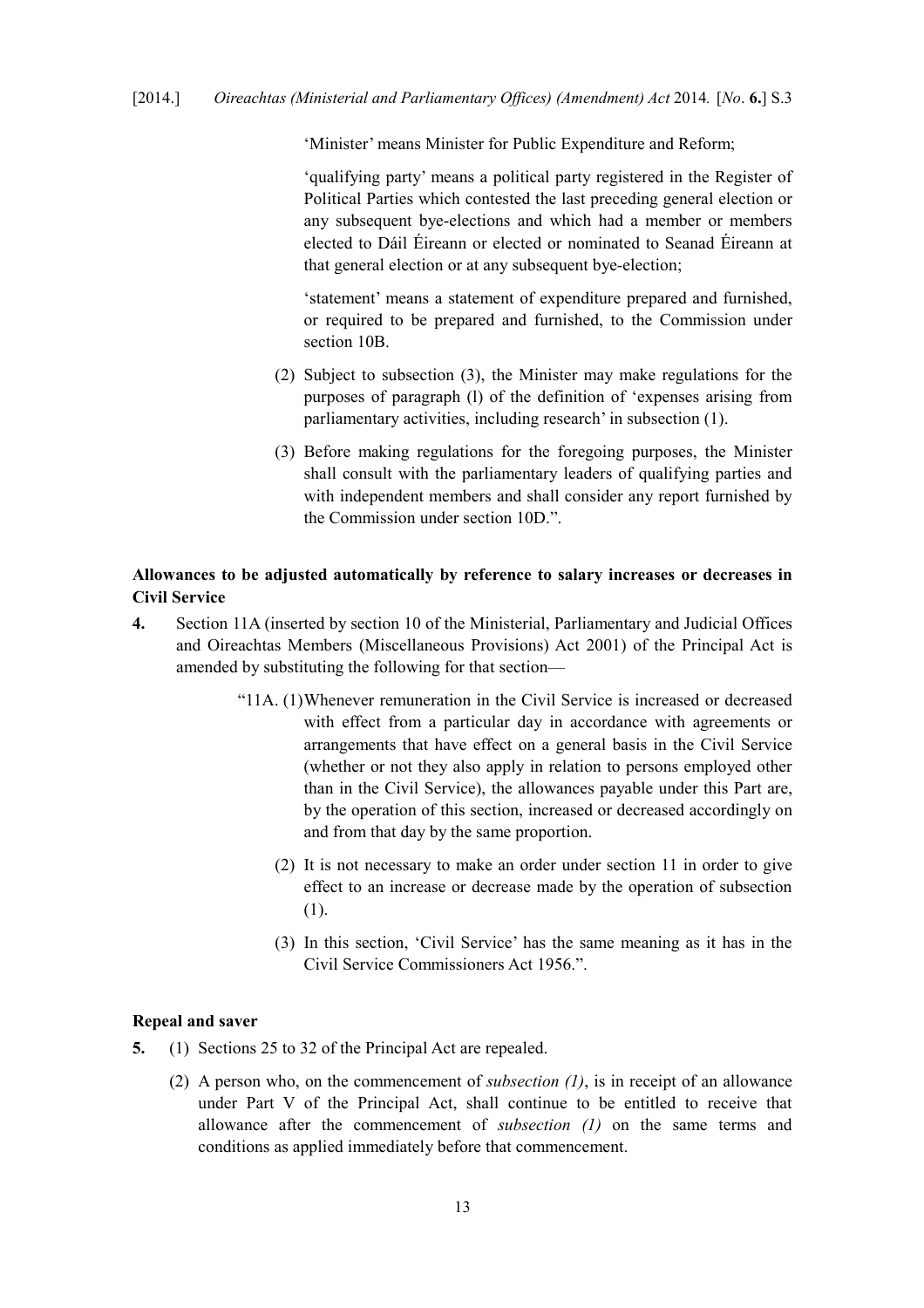'Minister' means Minister for Public Expenditure and Reform;

'qualifying party' means a political party registered in the Register of Political Parties which contested the last preceding general election or any subsequent bye-elections and which had a member or members elected to Dáil Éireann or elected or nominated to Seanad Éireann at that general election or at any subsequent bye-election:

'statement' means a statement of expenditure prepared and furnished, or required to be prepared and furnished, to the Commission under section 10B.

- (2) Subject to subsection (3), the Minister may make regulations for the purposes of paragraph (l) of the definition of 'expenses arising from parliamentary activities, including research' in subsection (1).
- (3) Before making regulations for the foregoing purposes, the Minister shall consult with the parliamentary leaders of qualifying parties and with independent members and shall consider any report furnished by the Commission under section 10D.".

### <span id="page-14-1"></span>**Allowances to be adjusted automatically by reference to salary increases or decreases in Civil Service**

- **4.** Section 11A (inserted by section 10 of the [Ministerial, Parliamentary and Judicial Offices](http://www.irishstatutebook.ie/2001/en/act/pub/0033/index.html) [and Oireachtas Members \(Miscellaneous Provisions\) Act 2001\)](http://www.irishstatutebook.ie/2001/en/act/pub/0033/index.html) of the Principal Act is amended by substituting the following for that section—
	- "11A. (1)Whenever remuneration in the Civil Service is increased or decreased with effect from a particular day in accordance with agreements or arrangements that have effect on a general basis in the Civil Service (whether or not they also apply in relation to persons employed other than in the Civil Service), the allowances payable under this Part are, by the operation of this section, increased or decreased accordingly on and from that day by the same proportion.
		- (2) It is not necessary to make an order under section 11 in order to give effect to an increase or decrease made by the operation of subsection (1).
		- (3) In this section, 'Civil Service' has the same meaning as it has in the [Civil Service Commissioners Act 1956.](http://www.irishstatutebook.ie/1956/en/act/pub/0045/index.html)".

### <span id="page-14-0"></span>**Repeal and saver**

- <span id="page-14-2"></span>**5.** (1) Sections 25 to 32 of the Principal Act are repealed.
	- (2) A person who, on the commencement of *subsection [\(1\)](#page-14-2)*, is in receipt of an allowance under Part V of the Principal Act, shall continue to be entitled to receive that allowance after the commencement of *subsection [\(1\)](#page-14-2)* on the same terms and conditions as applied immediately before that commencement.